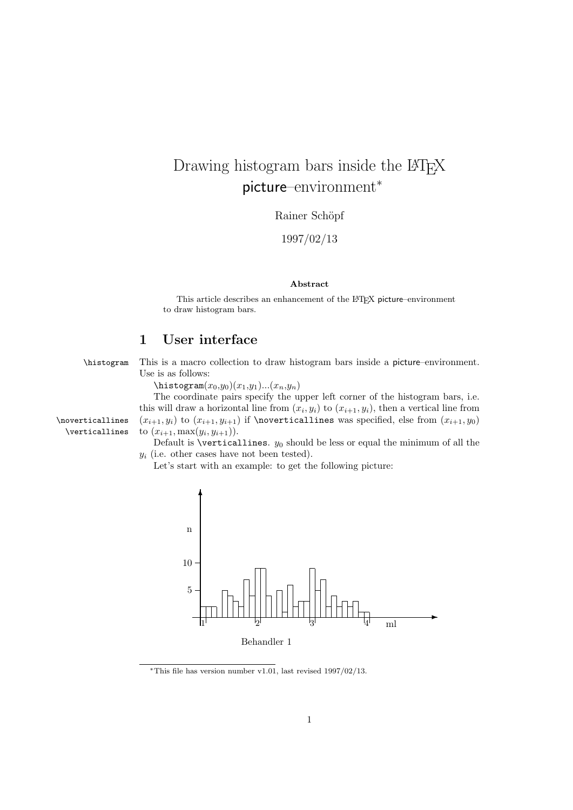## Drawing histogram bars inside the LAT<sub>E</sub>X picture–environment<sup>∗</sup>

Rainer Schöpf

1997/02/13

## Abstract

This article describes an enhancement of the LATEX picture–environment to draw histogram bars.

## 1 User interface

\histogram This is a macro collection to draw histogram bars inside a picture–environment. Use is as follows:

 $\text{histogram}(x_0,y_0)(x_1,y_1)...(x_n,y_n)$ 

The coordinate pairs specify the upper left corner of the histogram bars, i.e. this will draw a horizontal line from  $(x_i, y_i)$  to  $(x_{i+1}, y_i)$ , then a vertical line from \noverticallines  $(x_{i+1}, y_i)$  to  $(x_{i+1}, y_{i+1})$  if \noverticallines was specified, else from  $(x_{i+1}, y_0)$ \verticallines to  $(x_{i+1}, \max(y_i, y_{i+1})).$ 

> Default is \verticallines.  $y_0$  should be less or equal the minimum of all the  $y_i$  (i.e. other cases have not been tested).

Let's start with an example: to get the following picture:



<sup>∗</sup>This file has version number v1.01, last revised 1997/02/13.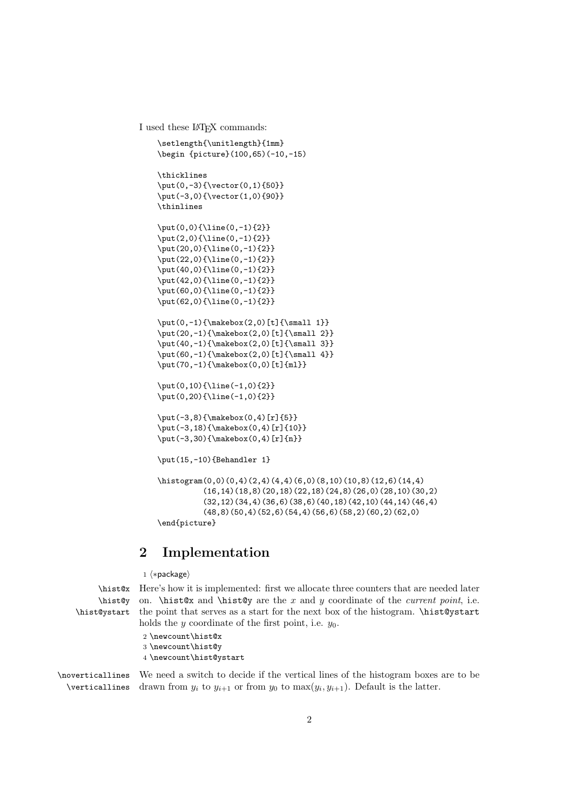I used these LATEX commands:

```
\setlength{\unitlength}{1mm}
\begin {picture}(100,65)(-10,-15)
\thicklines
\put(0,-3){\vector(0,1){50}}
\put(-3,0){\vector(1,0){90}}
\thinlines
\put(0,0){\line(0,-1){2}}
\put(2,0){\line(0,-1){2}}
\put(20,0){\line(0,-1){2}}
\put(22,0){\line(0,-1){2}}
\put(40,0){\line(0,-1){2}}
\put(42,0){\line(0,-1){2}}
\put(60,0){\line(0,-1){2}}
\put(62,0){\line(0,-1){2}}
\put(0,-1){\makebox(2,0)[t]{\small{small 1}}\put(20,-1){\makebox(2,0)[t]{\small 2}}
\put(40,-1){\makebox(2,0)[t]{\small{small 3}}\label{thm:main} $$\put (60, -1){\makebox(2,0)[t]{\small{small 4}}"\put(70,-1){\makebox(0,0)[t]{ml}}
\put(0,10){\line(-1,0){2}}
\put(0,20){\line(-1,0){2}}
\put(-3,8){\makebox(0,4)[r]{5}}
\put(-3,18){\makebox(0,4)[r]{10}}
\put(-3,30){\makebox(0,4)[r]{n}}
\put(15,-10){Behandler 1}
\histogram(0,0)(0,4)(2,4)(4,4)(6,0)(8,10)(10,8)(12,6)(14,4)
          (16,14)(18,8)(20,18)(22,18)(24,8)(26,0)(28,10)(30,2)(32,12)(34,4)(36,6)(38,6)(40,18)(42,10)(44,14)(46,4)
          (48,8)(50,4)(52,6)(54,4)(56,6)(58,2)(60,2)(62,0)
\end{picture}
```
## 2 Implementation

1  $\langle *package \rangle$ 

```
\hist@y
\hist@ystart
```
\hist@x Here's how it is implemented: first we allocate three counters that are needed later on.  $\hbox{dist@x}$  and  $\hbox{dist@y}$  are the x and y coordinate of the *current point*, i.e. the point that serves as a start for the next box of the histogram. \hist@ystart holds the y coordinate of the first point, i.e.  $y_0$ .

> 2 \newcount\hist@x 3 \newcount\hist@y 4 \newcount\hist@ystart

\noverticallines \verticallines We need a switch to decide if the vertical lines of the histogram boxes are to be drawn from  $y_i$  to  $y_{i+1}$  or from  $y_0$  to  $\max(y_i, y_{i+1})$ . Default is the latter.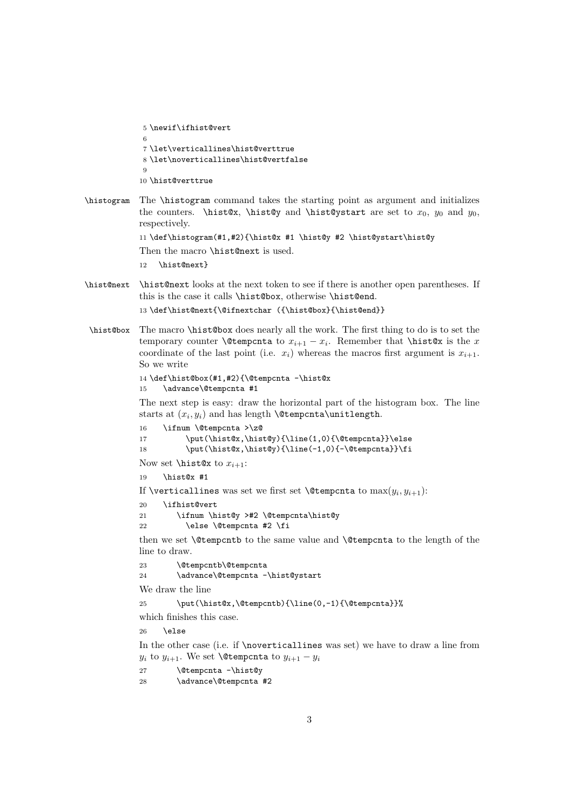```
5 \newif\ifhist@vert
6
7 \let\verticallines\hist@verttrue
8 \let\noverticallines\hist@vertfalse
9
10 \hist@verttrue
```
\histogram The \histogram command takes the starting point as argument and initializes the counters. \hist@x, \hist@y and \hist@ystart are set to  $x_0$ ,  $y_0$  and  $y_0$ , respectively.

```
11 \def\histogram(#1,#2){\hist@x #1 \hist@y #2 \hist@ystart\hist@y
```

```
Then the macro \hist@next is used.
```

```
12 \hist@next}
```
\hist@next \hist@next looks at the next token to see if there is another open parentheses. If this is the case it calls \hist@box, otherwise \hist@end.

13 \def\hist@next{\@ifnextchar ({\hist@box}{\hist@end}}

\hist@box The macro \hist@box does nearly all the work. The first thing to do is to set the temporary counter  $\text{temperature}$  to  $x_{i+1} - x_i$ . Remember that  $\text{hist} \& x_i$ coordinate of the last point (i.e.  $x_i$ ) whereas the macros first argument is  $x_{i+1}$ . So we write

```
14 \def\hist@box(#1,#2){\@tempcnta -\hist@x
15 \advance\@tempcnta #1
```
The next step is easy: draw the horizontal part of the histogram box. The line starts at  $(x_i, y_i)$  and has length **\@tempcnta\unitlength**.

```
16 \ifnum \@tempcnta >\z@
17 \put(\hist@x,\hist@y){\line(1,0){\@tempcnta}}\else
18 \put(\hist@x,\hist@y){\line(-1,0){-\@tempcnta}}\fi
```

```
Now set \hist@x to x_{i+1}:
```

```
19 \hist@x #1
```

```
If \verticallines was set we first set \@tempcnta to \max(y_i, y_{i+1}):
```

```
20 \ifhist@vert
```

```
21 \ifnum \hist@y >#2 \@tempcnta\hist@y
22 \text{else} \text{0} \else \\tempcnta #2 \fi
```
then we set \@tempcntb to the same value and \@tempcnta to the length of the line to draw.

```
23 \@tempcntb\@tempcnta
24 \advance\@tempcnta -\hist@ystart
```
We draw the line

25 \put(\hist@x,\@tempcntb){\line(0,-1){\@tempcnta}}%

which finishes this case.

 $26 \text{ kg}$ 

In the other case (i.e. if **\noverticallines** was set) we have to draw a line from  $y_i$  to  $y_{i+1}$ . We set **\@tempcnta** to  $y_{i+1} - y_i$ 

27 \@tempcnta -\hist@y

28 \advance\@tempcnta #2